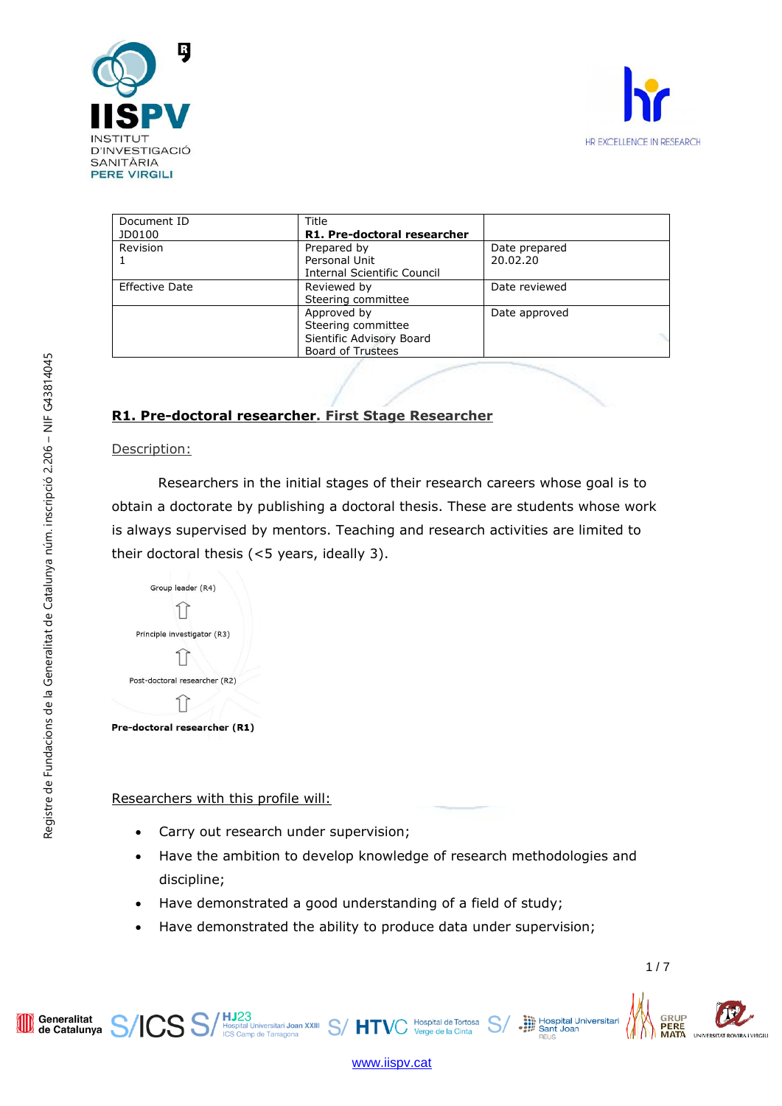



| Document ID           | Title                       |               |  |
|-----------------------|-----------------------------|---------------|--|
| JD0100                | R1. Pre-doctoral researcher |               |  |
| Revision              | Prepared by                 | Date prepared |  |
|                       | Personal Unit               | 20.02.20      |  |
|                       | Internal Scientific Council |               |  |
| <b>Effective Date</b> | Reviewed by                 | Date reviewed |  |
|                       | Steering committee          |               |  |
|                       | Approved by                 | Date approved |  |
|                       | Steering committee          |               |  |
|                       | Sientific Advisory Board    |               |  |
|                       | <b>Board of Trustees</b>    |               |  |

# **R1. Pre-doctoral researcher. First Stage Researcher**

#### Description:

Researchers in the initial stages of their research careers whose goal is to obtain a doctorate by publishing a doctoral thesis. These are students whose work is always supervised by mentors. Teaching and research activities are limited to their doctoral thesis (<5 years, ideally 3).

| Group leader (R4)             |
|-------------------------------|
|                               |
| Principle investigator (R3)   |
|                               |
| Post-doctoral researcher (R2) |
|                               |

Pre-doctoral researcher (R1)

Researchers with this profile will:

Carry out research under supervision;

**ICS** S/ H323<br>**ICS** S/ H56pital Universitari Joan XXIII S/ HTV(

- Have the ambition to develop knowledge of research methodologies and discipline;
- Have demonstrated a good understanding of a field of study;
- Have demonstrated the ability to produce data under supervision;

Generalitat<br>de Catalunya

 $1/7$ 

GRUP

**PERE** 

Hospital Universita<br>
Sant Joan



Hospital de Tortosa

e de la Cinta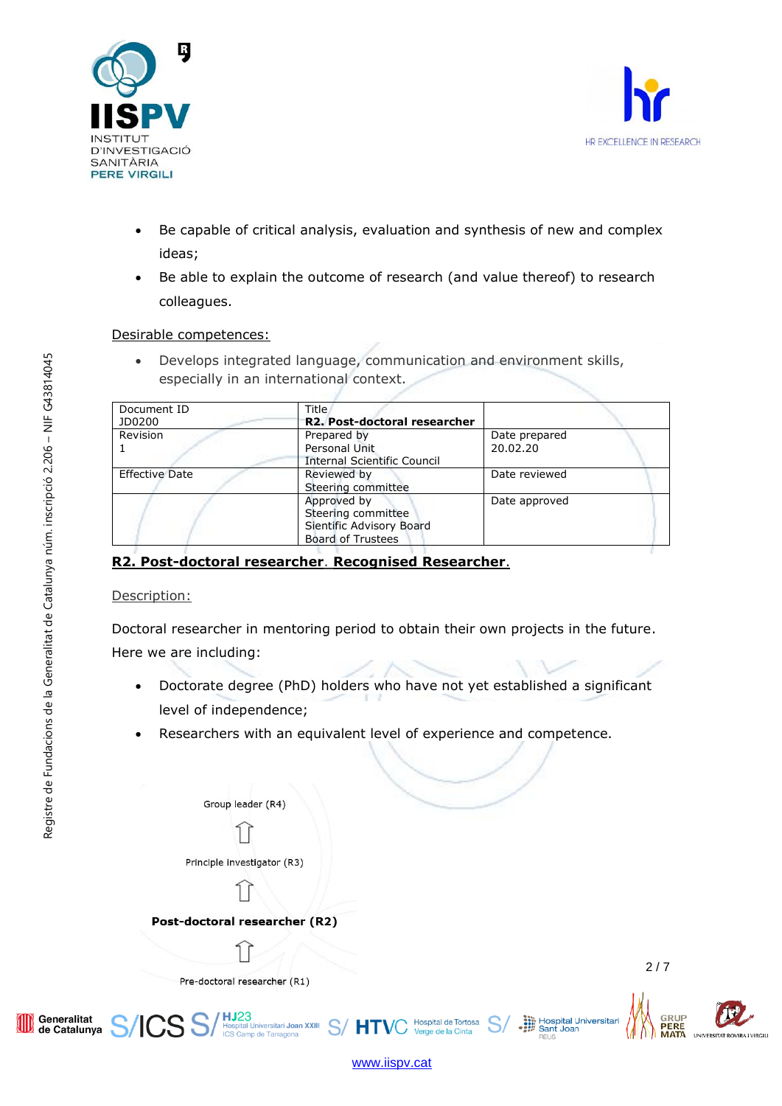



- Be capable of critical analysis, evaluation and synthesis of new and complex ideas;
- Be able to explain the outcome of research (and value thereof) to research colleagues.

### Desirable competences:

• Develops integrated language, communication and environment skills, especially in an international context.

| Document ID<br>JD0200 | <b>Title</b><br>R2. Post-doctoral researcher                                              |                           |
|-----------------------|-------------------------------------------------------------------------------------------|---------------------------|
| Revision              | Prepared by<br>Personal Unit<br><b>Internal Scientific Council</b>                        | Date prepared<br>20.02.20 |
| <b>Effective Date</b> | Reviewed by<br>Steering committee                                                         | Date reviewed             |
|                       | Approved by<br>Steering committee<br>Sientific Advisory Board<br><b>Board of Trustees</b> | Date approved             |

# **R2. Post-doctoral researcher**. **Recognised Researcher**.

## Description:

Doctoral researcher in mentoring period to obtain their own projects in the future. Here we are including:

• Doctorate degree (PhD) holders who have not yet established a significant level of independence;

[www.iispv.cat](http://www.iispv.cat/)

Hospital de Tortosa

e de la Cinta

Researchers with an equivalent level of experience and competence.

Group leader (R4)

Principle investigator (R3)

Post-doctoral researcher (R2)

**HJ23**<br>Hospital Universitari Joan XXIII S/HTV(

Hospital Universita<br>
Sant Joan

GRUP

**PERE** 



Generalitat<br>de Catalunya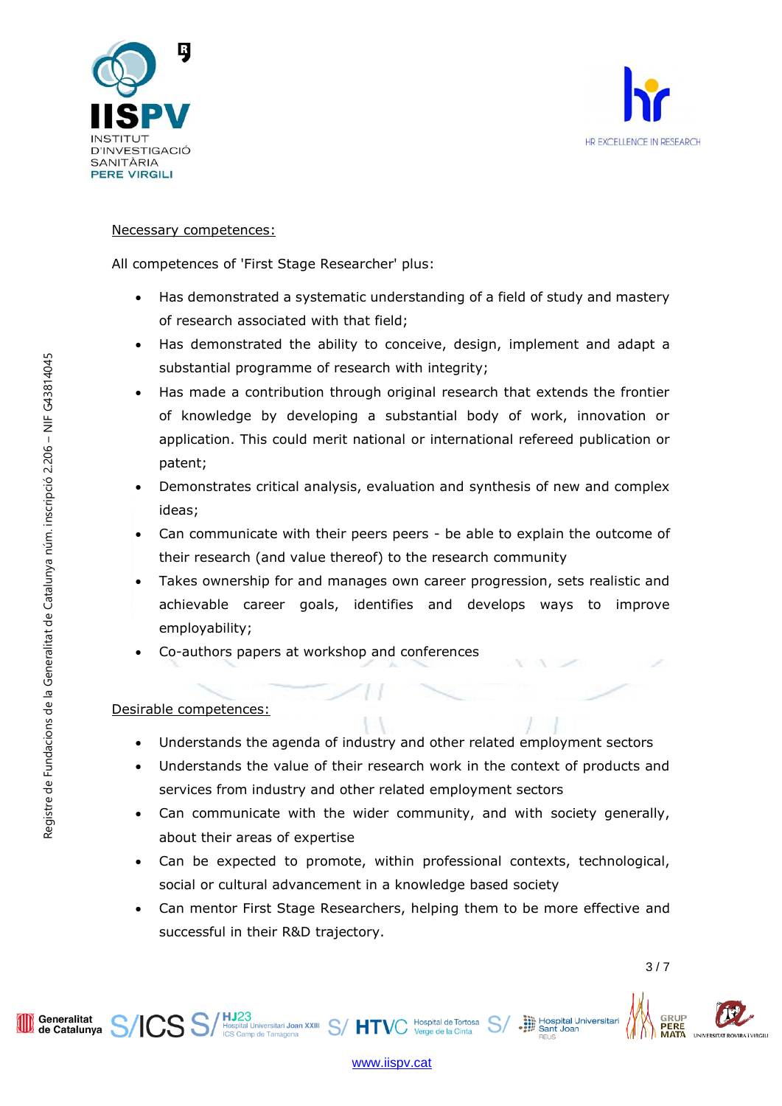



### Necessary competences:

All competences of 'First Stage Researcher' plus:

- Has demonstrated a systematic understanding of a field of study and mastery of research associated with that field;
- Has demonstrated the ability to conceive, design, implement and adapt a substantial programme of research with integrity;
- Has made a contribution through original research that extends the frontier of knowledge by developing a substantial body of work, innovation or application. This could merit national or international refereed publication or patent;
- Demonstrates critical analysis, evaluation and synthesis of new and complex ideas;
- Can communicate with their peers peers be able to explain the outcome of their research (and value thereof) to the research community
- Takes ownership for and manages own career progression, sets realistic and achievable career goals, identifies and develops ways to improve employability;
- Co-authors papers at workshop and conferences

ICS S/HJ23<br>ICS S/ Hospital Universitari Joan XXIII S/ HTVC

## Desirable competences:

- Understands the agenda of industry and other related employment sectors
- Understands the value of their research work in the context of products and services from industry and other related employment sectors
- Can communicate with the wider community, and with society generally, about their areas of expertise
- Can be expected to promote, within professional contexts, technological, social or cultural advancement in a knowledge based society
- Can mentor First Stage Researchers, helping them to be more effective and successful in their R&D trajectory.

Generalitat Generalitat<br>de Catalunya

Registre de Fundacions de la Generalitat de Catalunya núm. inscripció 2.206 – NIF G43814045

Registre de Fundacions de la Generalitat de Catalunya núm. inscripció 2.206 - NIF G43814045

3 / 7

Hospital Universita<br>
Sant Joan<br>
Sant Joan



Hospital de Tortosa<br>Verge de la Cinta Verge de la Cinta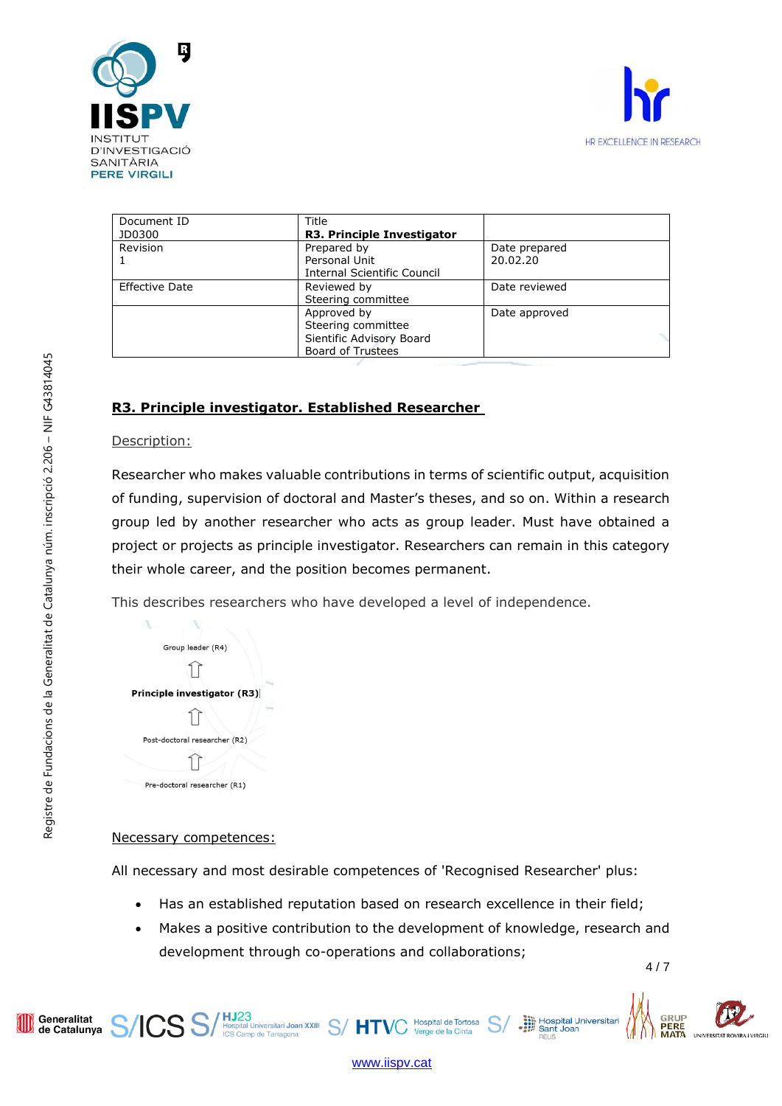



| Document ID           | Title                              |               |
|-----------------------|------------------------------------|---------------|
| JD0300                | R3. Principle Investigator         |               |
| Revision              | Prepared by                        | Date prepared |
|                       | Personal Unit                      | 20.02.20      |
|                       | <b>Internal Scientific Council</b> |               |
| <b>Effective Date</b> | Reviewed by                        | Date reviewed |
|                       | Steering committee                 |               |
|                       | Approved by                        | Date approved |
|                       | Steering committee                 |               |
|                       | Sientific Advisory Board           |               |
|                       | <b>Board of Trustees</b>           |               |

# **R3. Principle investigator. Established Researcher**

### Description:

ň,

Researcher who makes valuable contributions in terms of scientific output, acquisition of funding, supervision of doctoral and Master's theses, and so on. Within a research group led by another researcher who acts as group leader. Must have obtained a project or projects as principle investigator. Researchers can remain in this category their whole career, and the position becomes permanent.

This describes researchers who have developed a level of independence.

| Group leader (R4)             |
|-------------------------------|
|                               |
| Principle investigator (R3)   |
|                               |
| Post-doctoral researcher (R2) |
|                               |
| Pre-doctoral researcher (R1)  |

Y.

## Necessary competences:

All necessary and most desirable competences of 'Recognised Researcher' plus:

- Has an established reputation based on research excellence in their field;
- $4/7$ • Makes a positive contribution to the development of knowledge, research and development through co-operations and collaborations;

**PERE** 

Hospital Universitar<br>
Sant Joan<br>
FILE

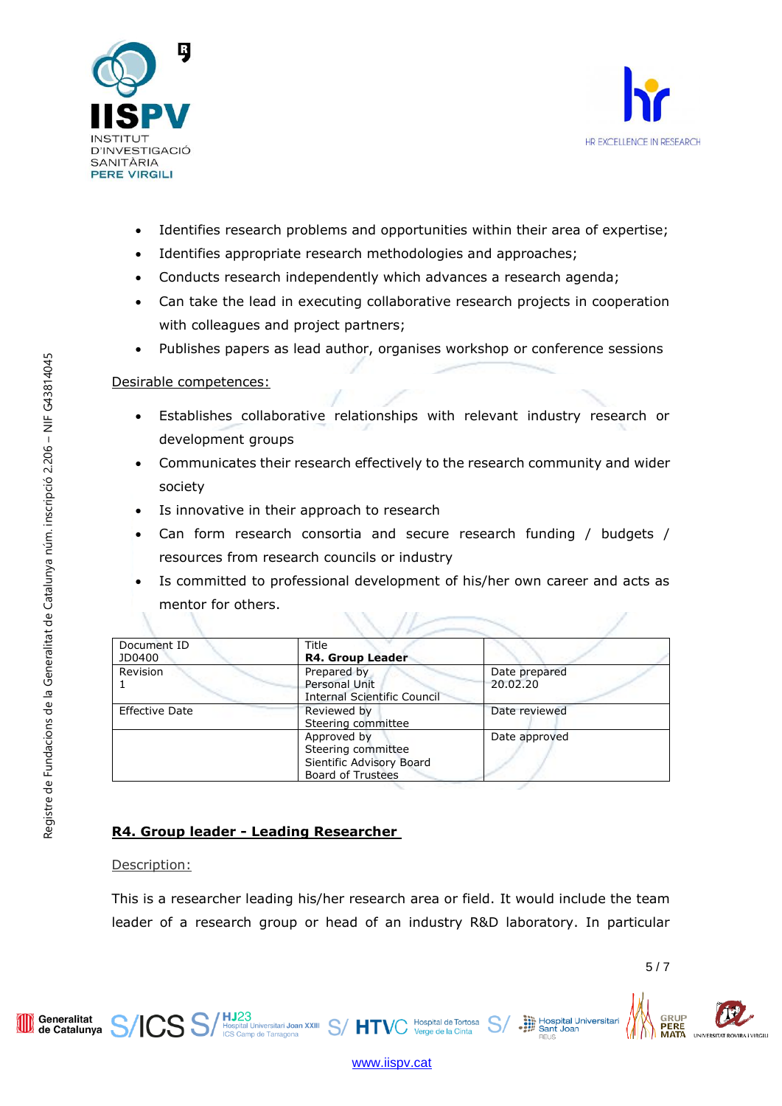



- Identifies research problems and opportunities within their area of expertise;
- Identifies appropriate research methodologies and approaches;
- Conducts research independently which advances a research agenda;
- Can take the lead in executing collaborative research projects in cooperation with colleagues and project partners;
- Publishes papers as lead author, organises workshop or conference sessions

### Desirable competences:

- Establishes collaborative relationships with relevant industry research or development groups
- Communicates their research effectively to the research community and wider society
- Is innovative in their approach to research
- Can form research consortia and secure research funding / budgets / resources from research councils or industry
- Is committed to professional development of his/her own career and acts as mentor for others.

| Document ID<br>JD0400 | Title<br><b>R4. Group Leader</b>                                                          |                           |
|-----------------------|-------------------------------------------------------------------------------------------|---------------------------|
| <b>Revision</b>       | Prepared by<br>Personal Unit<br><b>Internal Scientific Council</b>                        | Date prepared<br>20.02.20 |
| <b>Effective Date</b> | Reviewed by<br>Steering committee                                                         | Date reviewed             |
|                       | Approved by<br>Steering committee<br>Sientific Advisory Board<br><b>Board of Trustees</b> | Date approved             |

# **R4. Group leader - Leading Researcher**

ICS S/HJ23<br>ICS Samp de Tarragona XXIII S/HTVC

Description:

Generalitat<br>de Catalunya

This is a researcher leading his/her research area or field. It would include the team leader of a research group or head of an industry R&D laboratory. In particular

Hospital Universita



[www.iispv.cat](http://www.iispv.cat/)

Hospital de Tortosa<br>Verge de la Cinta Verge de la Cinta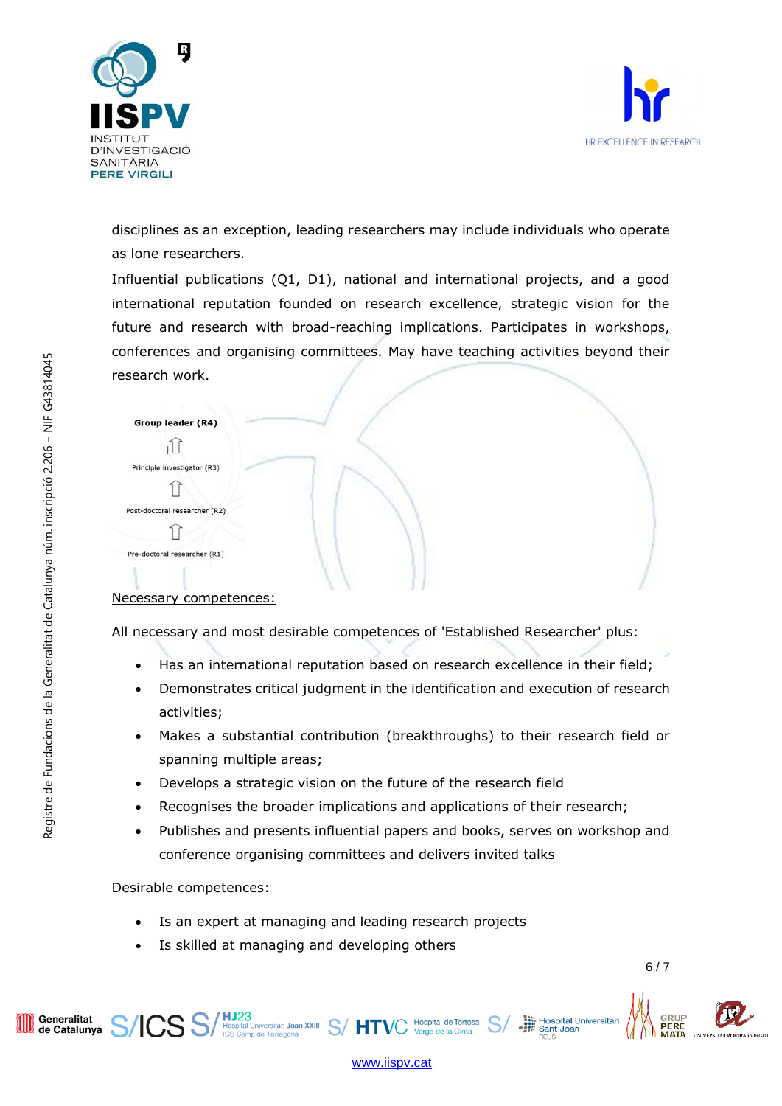



disciplines as an exception, leading researchers may include individuals who operate as lone researchers.

Influential publications (Q1, D1), national and international projects, and a good international reputation founded on research excellence, strategic vision for the future and research with broad-reaching implications. Participates in workshops, conferences and organising committees. May have teaching activities beyond their research work.

| Group leader (R4)             |  |
|-------------------------------|--|
|                               |  |
| Principle investigator (R3)   |  |
|                               |  |
| Post-doctoral researcher (R2) |  |
|                               |  |
| Pre-doctoral researcher (R1)  |  |
|                               |  |

## Necessary competences:

All necessary and most desirable competences of 'Established Researcher' plus:

- Has an international reputation based on research excellence in their field;
- Demonstrates critical judgment in the identification and execution of research activities;
- Makes a substantial contribution (breakthroughs) to their research field or spanning multiple areas;
- Develops a strategic vision on the future of the research field
- Recognises the broader implications and applications of their research:
- Publishes and presents influential papers and books, serves on workshop and conference organising committees and delivers invited talks

Desirable competences:

- Is an expert at managing and leading research projects
- Is skilled at managing and developing others

 $\text{CS } \text{S}/\text{}^{\text{HJ23}}_{\text{Icgs etam p de Tarragon}} \text{S}/\text{}^{\text{HTV}}$ 

Hospital Universita<br>
Sant Joan



[www.iispv.cat](http://www.iispv.cat/)

Hospital de Tortosa

Generalitat<br>de Catalunya